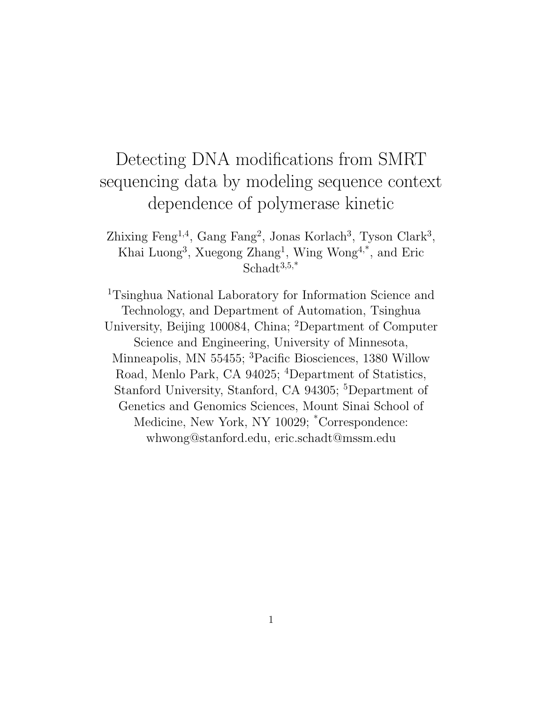# Detecting DNA modifications from SMRT sequencing data by modeling sequence context dependence of polymerase kinetic

Zhixing Feng<sup>1,4</sup>, Gang Fang<sup>2</sup>, Jonas Korlach<sup>3</sup>, Tyson Clark<sup>3</sup>, Khai Luong<sup>3</sup>, Xuegong Zhang<sup>1</sup>, Wing Wong<sup>4,\*</sup>, and Eric Schadt<sup>3,5,\*</sup>

<sup>1</sup>Tsinghua National Laboratory for Information Science and Technology, and Department of Automation, Tsinghua University, Beijing 100084, China; <sup>2</sup>Department of Computer Science and Engineering, University of Minnesota, Minneapolis, MN 55455; <sup>3</sup>Pacific Biosciences, 1380 Willow Road, Menlo Park, CA 94025; <sup>4</sup>Department of Statistics, Stanford University, Stanford, CA 94305; <sup>5</sup>Department of Genetics and Genomics Sciences, Mount Sinai School of Medicine, New York, NY 10029; \*Correspondence: whwong@stanford.edu, eric.schadt@mssm.edu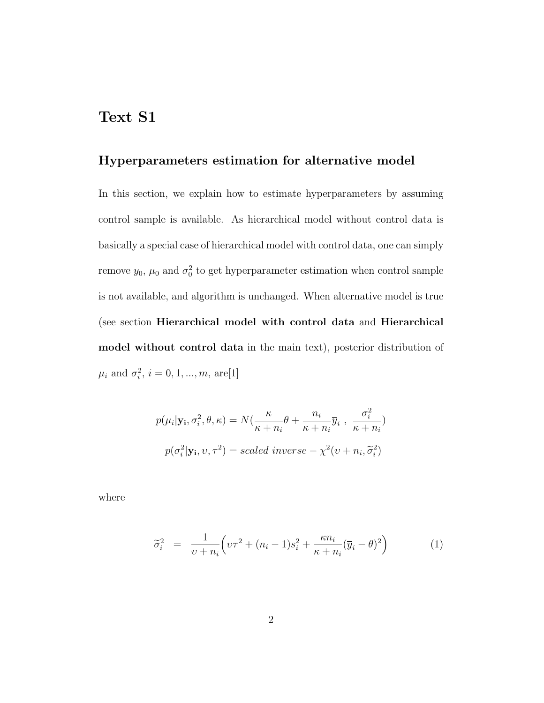### Text S1

### Hyperparameters estimation for alternative model

In this section, we explain how to estimate hyperparameters by assuming control sample is available. As hierarchical model without control data is basically a special case of hierarchical model with control data, one can simply remove  $y_0$ ,  $\mu_0$  and  $\sigma_0^2$  to get hyperparameter estimation when control sample is not available, and algorithm is unchanged. When alternative model is true (see section Hierarchical model with control data and Hierarchical model without control data in the main text), posterior distribution of  $\mu_i$  and  $\sigma_i^2$ ,  $i = 0, 1, ..., m$ , are[1]

$$
p(\mu_i|\mathbf{y_i}, \sigma_i^2, \theta, \kappa) = N(\frac{\kappa}{\kappa + n_i}\theta + \frac{n_i}{\kappa + n_i}\overline{y}_i, \frac{\sigma_i^2}{\kappa + n_i})
$$

$$
p(\sigma_i^2|\mathbf{y_i}, \upsilon, \tau^2) = scaled\ inverse - \chi^2(\upsilon + n_i, \widetilde{\sigma}_i^2)
$$

where

$$
\widetilde{\sigma}_i^2 = \frac{1}{\nu + n_i} \left( \nu \tau^2 + (n_i - 1)s_i^2 + \frac{\kappa n_i}{\kappa + n_i} (\overline{y}_i - \theta)^2 \right) \tag{1}
$$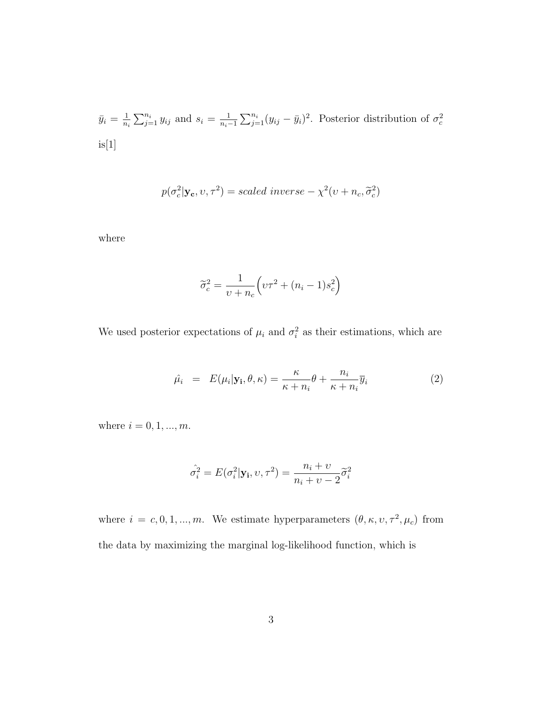$$
\bar{y}_i = \frac{1}{n_i} \sum_{j=1}^{n_i} y_{ij}
$$
 and  $s_i = \frac{1}{n_i - 1} \sum_{j=1}^{n_i} (y_{ij} - \bar{y}_i)^2$ . Posterior distribution of  $\sigma_c^2$  is[1]

$$
p(\sigma_c^2|\mathbf{y_c}, v, \tau^2) = scaled\ inverse - \chi^2(v + n_c, \tilde{\sigma}_c^2)
$$

where

$$
\widetilde{\sigma}_c^2 = \frac{1}{\upsilon + n_c} \Big( \upsilon \tau^2 + (n_i - 1)s_c^2 \Big)
$$

We used posterior expectations of  $\mu_i$  and  $\sigma_i^2$  as their estimations, which are

$$
\hat{\mu}_i = E(\mu_i | \mathbf{y}_i, \theta, \kappa) = \frac{\kappa}{\kappa + n_i} \theta + \frac{n_i}{\kappa + n_i} \overline{y}_i
$$
\n(2)

where  $i=0,1,...,m.$ 

$$
\hat{\sigma}_i^2 = E(\sigma_i^2 | \mathbf{y_i}, v, \tau^2) = \frac{n_i + v}{n_i + v - 2} \widetilde{\sigma}_i^2
$$

where  $i = c, 0, 1, ..., m$ . We estimate hyperparameters  $(\theta, \kappa, \nu, \tau^2, \mu_c)$  from the data by maximizing the marginal log-likelihood function, which is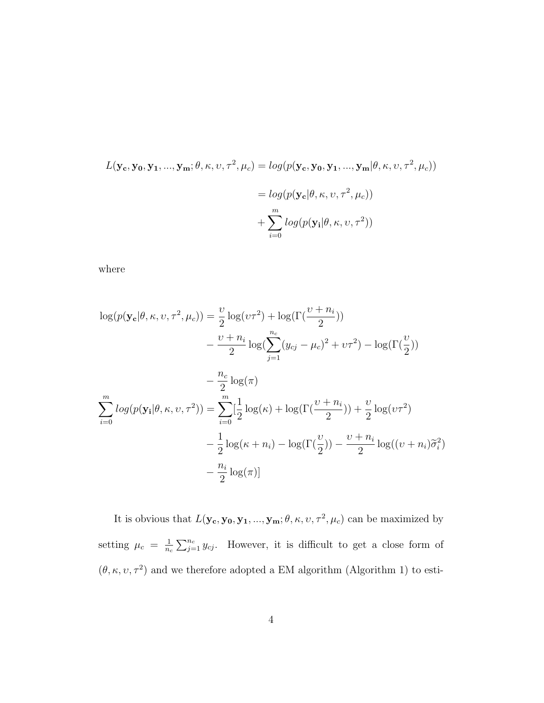$$
L(\mathbf{y_c}, \mathbf{y_0}, \mathbf{y_1}, ..., \mathbf{y_m}; \theta, \kappa, v, \tau^2, \mu_c) = log(p(\mathbf{y_c}, \mathbf{y_0}, \mathbf{y_1}, ..., \mathbf{y_m} | \theta, \kappa, v, \tau^2, \mu_c))
$$
  
=  $log(p(\mathbf{y_c} | \theta, \kappa, v, \tau^2, \mu_c))$   
+  $\sum_{i=0}^{m} log(p(\mathbf{y_i} | \theta, \kappa, v, \tau^2))$ 

where

$$
\log(p(\mathbf{y_c}|\theta, \kappa, \nu, \tau^2, \mu_c)) = \frac{\nu}{2} \log(\nu \tau^2) + \log(\Gamma(\frac{\nu + n_i}{2}))
$$
  
\n
$$
- \frac{\nu + n_i}{2} \log(\sum_{j=1}^{n_c} (y_{cj} - \mu_c)^2 + \nu \tau^2) - \log(\Gamma(\frac{\nu}{2}))
$$
  
\n
$$
- \frac{n_c}{2} \log(\pi)
$$
  
\n
$$
\sum_{i=0}^{m} \log(p(\mathbf{y_i}|\theta, \kappa, \nu, \tau^2)) = \sum_{i=0}^{m} [\frac{1}{2} \log(\kappa) + \log(\Gamma(\frac{\nu + n_i}{2})) + \frac{\nu}{2} \log(\nu \tau^2)
$$
  
\n
$$
- \frac{1}{2} \log(\kappa + n_i) - \log(\Gamma(\frac{\nu}{2})) - \frac{\nu + n_i}{2} \log((\nu + n_i)\tilde{\sigma}_i^2)
$$
  
\n
$$
- \frac{n_i}{2} \log(\pi)]
$$

It is obvious that  $L(\mathbf{y_c}, \mathbf{y_0}, \mathbf{y_1}, ..., \mathbf{y_m}; \theta, \kappa, \nu, \tau^2, \mu_c)$  can be maximized by setting  $\mu_c = \frac{1}{n_c}$  $\frac{1}{n_c}\sum_{j=1}^{n_c} y_{cj}$ . However, it is difficult to get a close form of  $(\theta, \kappa, \nu, \tau^2)$  and we therefore adopted a EM algorithm (Algorithm 1) to esti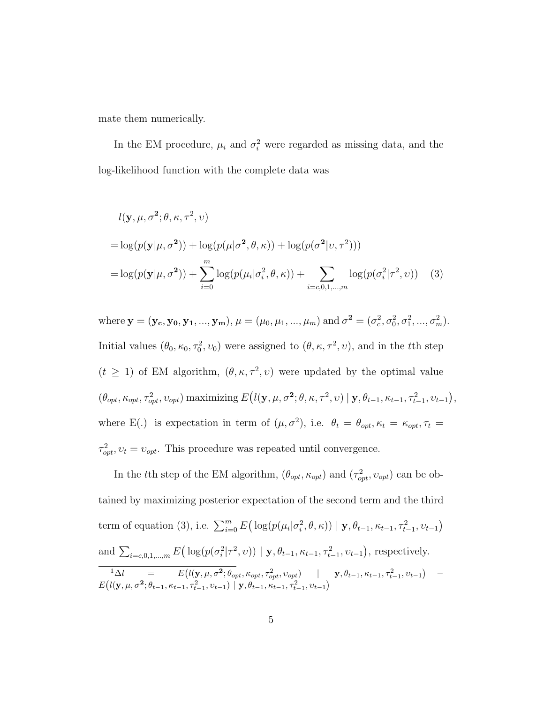mate them numerically.

In the EM procedure,  $\mu_i$  and  $\sigma_i^2$  were regarded as missing data, and the log-likelihood function with the complete data was

$$
l(\mathbf{y}, \mu, \sigma^2; \theta, \kappa, \tau^2, \nu)
$$
  
=  $\log(p(\mathbf{y}|\mu, \sigma^2)) + \log(p(\mu|\sigma^2, \theta, \kappa)) + \log(p(\sigma^2|\nu, \tau^2)))$   
=  $\log(p(\mathbf{y}|\mu, \sigma^2)) + \sum_{i=0}^{m} \log(p(\mu_i|\sigma_i^2, \theta, \kappa)) + \sum_{i=c,0,1,\dots,m} \log(p(\sigma_i^2|\tau^2, \nu))$  (3)

where  $\mathbf{y} = (\mathbf{y_c}, \mathbf{y_0}, \mathbf{y_1}, ..., \mathbf{y_m}), \mu = (\mu_0, \mu_1, ..., \mu_m)$  and  $\sigma^2 = (\sigma_c^2, \sigma_0^2, \sigma_1^2, ..., \sigma_m^2)$ . Initial values  $(\theta_0, \kappa_0, \tau_0^2, v_0)$  were assigned to  $(\theta, \kappa, \tau^2, v)$ , and in the tth step  $(t \geq 1)$  of EM algorithm,  $(\theta, \kappa, \tau^2, v)$  were updated by the optimal value  $(\theta_{opt}, \kappa_{opt}, \tau_{opt}^2, v_{opt})$  maximizing  $E(l(\mathbf{y}, \mu, \sigma^2; \theta, \kappa, \tau^2, v) | \mathbf{y}, \theta_{t-1}, \kappa_{t-1}, \tau_{t-1}^2, v_{t-1}),$ where E(.) is expectation in term of  $(\mu, \sigma^2)$ , i.e.  $\theta_t = \theta_{opt}, \kappa_t = \kappa_{opt}, \tau_t =$  $\tau_{opt}^2, v_t = v_{opt}$ . This procedure was repeated until convergence.

In the tth step of the EM algorithm,  $(\theta_{opt}, \kappa_{opt})$  and  $(\tau_{opt}^2, \nu_{opt})$  can be obtained by maximizing posterior expectation of the second term and the third term of equation (3), i.e.  $\sum_{i=0}^{m} E\left(\log(p(\mu_i|\sigma_i^2, \theta, \kappa)) \mid \mathbf{y}, \theta_{t-1}, \kappa_{t-1}, \tau_{t-1}^2, v_{t-1}\right)$ and  $\sum_{i=c,0,1,...,m} E\big(\log(p(\sigma_i^2|\tau^2,v)) | \mathbf{y}, \theta_{t-1}, \kappa_{t-1}, \tau_{t-1}^2, v_{t-1}\big)$ , respectively.  $^{1}\Delta l = E(l(\mathbf{y}, \mu, \sigma^2; \theta_{opt}, \kappa_{opt}, \tau_{opt}^2, v_{opt}) \quad | \quad \mathbf{y}, \theta_{t-1}, \kappa_{t-1}, \tau_{t-1}^2, v_{t-1}) E(l(\mathbf{y}, \mu, \sigma^2; \theta_{t-1}, \kappa_{t-1}, \tau_{t-1}^2, v_{t-1}) | \mathbf{y}, \theta_{t-1}, \kappa_{t-1}, \tau_{t-1}^2, v_{t-1})$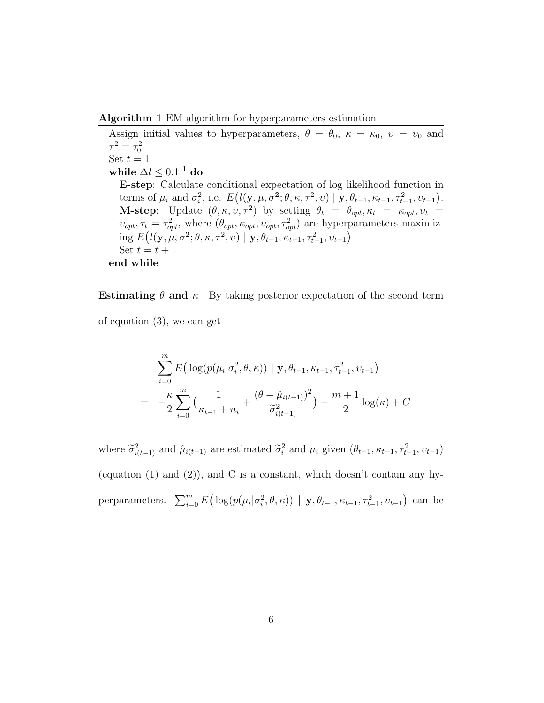Algorithm 1 EM algorithm for hyperparameters estimation

Assign initial values to hyperparameters,  $\theta = \theta_0$ ,  $\kappa = \kappa_0$ ,  $v = v_0$  and  $\tau^2 = \tau_0^2$ . Set  $t = 1$ while  $\Delta l \leq 0.1^{-1}$  do E-step: Calculate conditional expectation of log likelihood function in terms of  $\mu_i$  and  $\sigma_i^2$ , i.e.  $E(l(\mathbf{y}, \mu, \sigma^2; \theta, \kappa, \tau^2, v) \mid \mathbf{y}, \theta_{t-1}, \kappa_{t-1}, \tau_{t-1}^2, v_{t-1}).$ **M-step**: Update  $(\theta, \kappa, \nu, \tau^2)$  by setting  $\theta_t = \theta_{opt}, \kappa_t = \kappa_{opt}, \nu_t =$  $v_{opt}, \tau_t = \tau_{opt}^2$ , where  $(\theta_{opt}, \kappa_{opt}, v_{opt}, \tau_{opt}^2)$  are hyperparameters maximizing  $E(l(\mathbf{y}, \mu, \sigma^2; \theta, \kappa, \tau^2, v) | \mathbf{y}, \theta_{t-1}, \kappa_{t-1}, \tau_{t-1}^2, v_{t-1})$ Set  $t = t + 1$ end while

Estimating  $\theta$  and  $\kappa$  By taking posterior expectation of the second term of equation (3), we can get

$$
\sum_{i=0}^{m} E\left(\log(p(\mu_i|\sigma_i^2, \theta, \kappa)) \mid \mathbf{y}, \theta_{t-1}, \kappa_{t-1}, \tau_{t-1}^2, \nu_{t-1}\right)
$$

$$
= -\frac{\kappa}{2} \sum_{i=0}^{m} \left(\frac{1}{\kappa_{t-1} + n_i} + \frac{(\theta - \hat{\mu}_{i(t-1)})^2}{\tilde{\sigma}_{i(t-1)}^2}\right) - \frac{m+1}{2} \log(\kappa) + C
$$

where  $\tilde{\sigma}_{i(t-1)}^2$  and  $\hat{\mu}_{i(t-1)}$  are estimated  $\tilde{\sigma}_i^2$  and  $\mu_i$  given  $(\theta_{t-1}, \kappa_{t-1}, \tau_{t-1}^2, \nu_{t-1})$ (equation  $(1)$  and  $(2)$ ), and C is a constant, which doesn't contain any hyperparameters.  $\sum_{i=0}^{m} E\left(\log(p(\mu_i|\sigma_i^2, \theta, \kappa)) | \mathbf{y}, \theta_{t-1}, \kappa_{t-1}, \tau_{t-1}^2, v_{t-1}\right)$  can be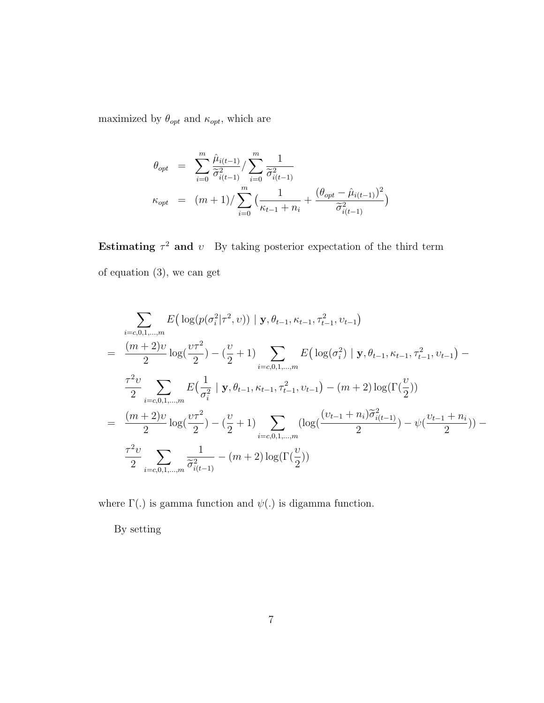maximized by  $\theta_{opt}$  and  $\kappa_{opt},$  which are

$$
\theta_{opt} = \sum_{i=0}^{m} \frac{\hat{\mu}_{i(t-1)}}{\tilde{\sigma}_{i(t-1)}^2} / \sum_{i=0}^{m} \frac{1}{\tilde{\sigma}_{i(t-1)}^2}
$$
\n
$$
\kappa_{opt} = (m+1) / \sum_{i=0}^{m} \left( \frac{1}{\kappa_{t-1} + n_i} + \frac{(\theta_{opt} - \hat{\mu}_{i(t-1)})^2}{\tilde{\sigma}_{i(t-1)}^2} \right)
$$

Estimating  $\tau^2$  and v By taking posterior expectation of the third term of equation (3), we can get

$$
\sum_{i=c,0,1,...,m} E\left(\log(p(\sigma_i^2|\tau^2, v)) \mid \mathbf{y}, \theta_{t-1}, \kappa_{t-1}, \tau_{t-1}^2, v_{t-1}\right)
$$
\n
$$
= \frac{(m+2)v}{2} \log(\frac{v\tau^2}{2}) - (\frac{v}{2}+1) \sum_{i=c,0,1,...,m} E\left(\log(\sigma_i^2) \mid \mathbf{y}, \theta_{t-1}, \kappa_{t-1}, \tau_{t-1}^2, v_{t-1}\right) - \frac{\tau^2 v}{2} \sum_{i=c,0,1,...,m} E\left(\frac{1}{\sigma_i^2} \mid \mathbf{y}, \theta_{t-1}, \kappa_{t-1}, \tau_{t-1}^2, v_{t-1}\right) - (m+2) \log(\Gamma(\frac{v}{2}))
$$
\n
$$
= \frac{(m+2)v}{2} \log(\frac{v\tau^2}{2}) - (\frac{v}{2}+1) \sum_{i=c,0,1,...,m} \left(\log(\frac{(v_{t-1}+n_i)\tilde{\sigma}_{i(t-1)}^2}{2}) - \psi(\frac{v_{t-1}+n_i}{2})\right) - \frac{\tau^2 v}{2} \sum_{i=c,0,1,...,m} \frac{1}{\tilde{\sigma}_{i(t-1)}^2} - (m+2) \log(\Gamma(\frac{v}{2}))
$$

where  $\Gamma(.)$  is gamma function and  $\psi(.)$  is digamma function.

By setting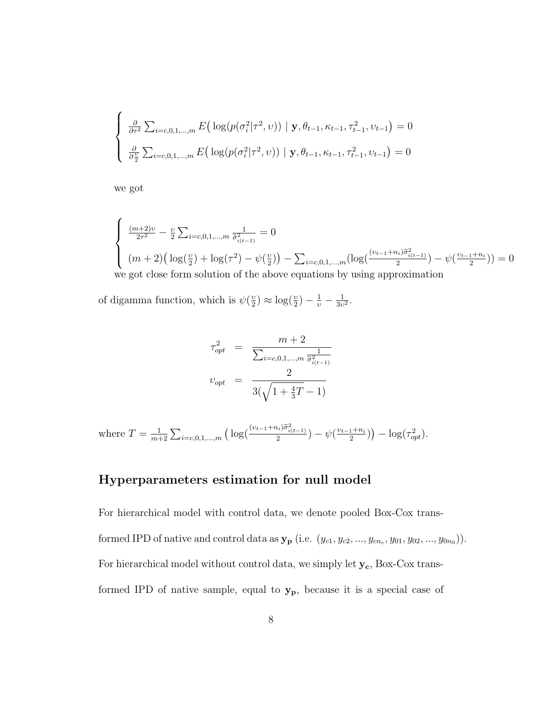$$
\begin{cases} \n\frac{\partial}{\partial \tau^2} \sum_{i=c,0,1,...,m} E\big(\log(p(\sigma_i^2|\tau^2, v)) \mid \mathbf{y}, \theta_{t-1}, \kappa_{t-1}, \tau_{t-1}^2, v_{t-1}\big) = 0 \\
\frac{\partial}{\partial \frac{v}{2}} \sum_{i=c,0,1,...,m} E\big(\log(p(\sigma_i^2|\tau^2, v)) \mid \mathbf{y}, \theta_{t-1}, \kappa_{t-1}, \tau_{t-1}^2, v_{t-1}\big) = 0\n\end{cases}
$$

we got

$$
\begin{cases} \frac{(m+2)v}{2\tau^2} - \frac{v}{2} \sum_{i=c,0,1,\dots,m} \frac{1}{\tilde{\sigma}_{i(t-1)}^2} = 0\\ (m+2) \left( \log(\frac{v}{2}) + \log(\tau^2) - \psi(\frac{v}{2}) \right) - \sum_{i=c,0,1,\dots,m} (\log(\frac{(v_{t-1}+n_i)\tilde{\sigma}_{i(t-1)}^2}{2}) - \psi(\frac{v_{t-1}+n_i}{2}) \right) = 0\\ \text{we got close form solution of the above equations by using approximation} \end{cases}
$$

of digamma function, which is  $\psi(\frac{v}{2})$  $\frac{v}{2}$ )  $\approx \log(\frac{v}{2}) - \frac{1}{v} - \frac{1}{3v}$  $\frac{1}{3v^2}$ .

$$
\tau_{opt}^2 = \frac{m+2}{\sum_{i=c,0,1,\dots,m} \frac{1}{\tilde{\sigma}_{i(t-1)}^2}}
$$
  

$$
v_{opt} = \frac{2}{3(\sqrt{1+\frac{4}{3}T}-1)}
$$

where 
$$
T = \frac{1}{m+2} \sum_{i=c,0,1,\dots,m} \left( \log \left( \frac{(v_{t-1}+n_i)\tilde{\sigma}_{i(t-1)}^2}{2} \right) - \psi \left( \frac{v_{t-1}+n_i}{2} \right) \right) - \log(\tau_{opt}^2).
$$

#### Hyperparameters estimation for null model

For hierarchical model with control data, we denote pooled Box-Cox transformed IPD of native and control data as  $y_{p}$  (i.e.  $(y_{c1}, y_{c2}, ..., y_{cn_c}, y_{01}, y_{02}, ..., y_{0n_0})$ ). For hierarchical model without control data, we simply let  $\mathbf{y_c},$  Box-Cox transformed IPD of native sample, equal to  $y_p$ , because it is a special case of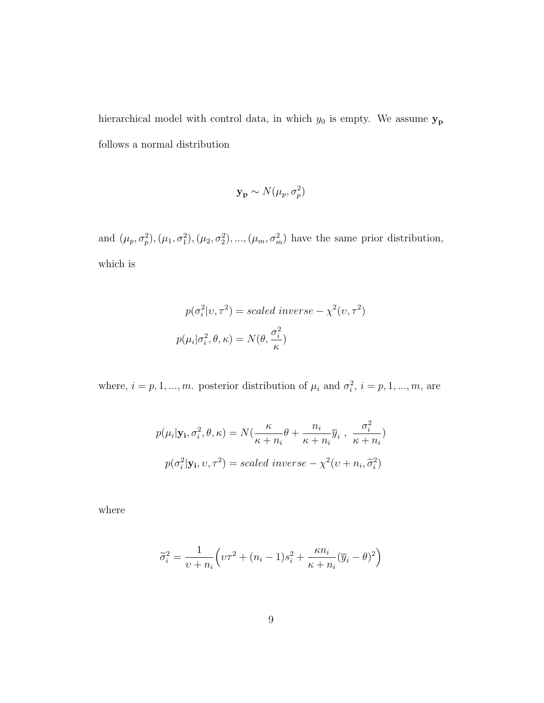hierarchical model with control data, in which  $y_0$  is empty. We assume  $y_p$ follows a normal distribution

$$
\mathbf{y_p} \sim N(\mu_p, \sigma_p^2)
$$

and  $(\mu_p, \sigma_p^2), (\mu_1, \sigma_1^2), (\mu_2, \sigma_2^2), ..., (\mu_m, \sigma_m^2)$  have the same prior distribution, which is

$$
p(\sigma_i^2 | v, \tau^2) = scaled \ inverse - \chi^2(v, \tau^2)
$$

$$
p(\mu_i | \sigma_i^2, \theta, \kappa) = N(\theta, \frac{\sigma_i^2}{\kappa})
$$

where,  $i = p, 1, ..., m$ . posterior distribution of  $\mu_i$  and  $\sigma_i^2$ ,  $i = p, 1, ..., m$ , are

$$
p(\mu_i|\mathbf{y_i}, \sigma_i^2, \theta, \kappa) = N(\frac{\kappa}{\kappa + n_i}\theta + \frac{n_i}{\kappa + n_i}\overline{y}_i, \frac{\sigma_i^2}{\kappa + n_i})
$$

$$
p(\sigma_i^2|\mathbf{y_i}, \nu, \tau^2) = scaled\ inverse - \chi^2(\nu + n_i, \widetilde{\sigma}_i^2)
$$

where

$$
\widetilde{\sigma}_i^2 = \frac{1}{\upsilon + n_i} \left( \upsilon \tau^2 + (n_i - 1)s_i^2 + \frac{\kappa n_i}{\kappa + n_i} (\overline{y}_i - \theta)^2 \right)
$$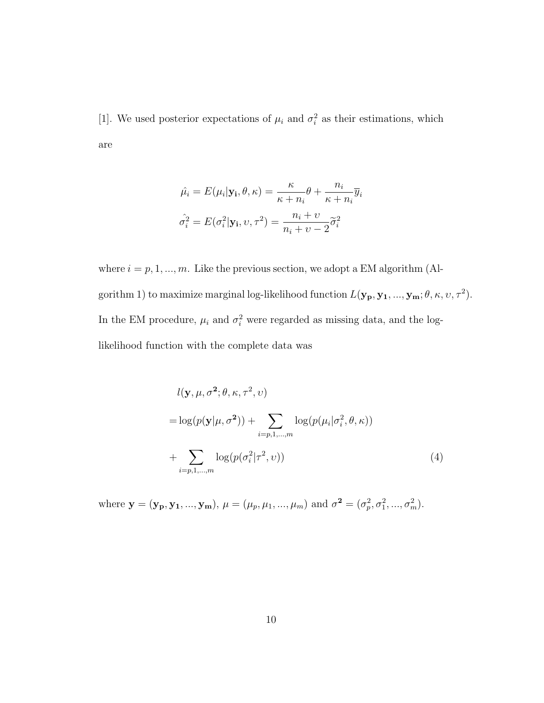[1]. We used posterior expectations of  $\mu_i$  and  $\sigma_i^2$  as their estimations, which are

$$
\hat{\mu_i} = E(\mu_i | \mathbf{y_i}, \theta, \kappa) = \frac{\kappa}{\kappa + n_i} \theta + \frac{n_i}{\kappa + n_i} \overline{y}_i
$$

$$
\hat{\sigma}_i^2 = E(\sigma_i^2 | \mathbf{y_i}, \nu, \tau^2) = \frac{n_i + \nu}{n_i + \nu - 2} \tilde{\sigma}_i^2
$$

where  $i = p, 1, ..., m$ . Like the previous section, we adopt a EM algorithm (Algorithm 1) to maximize marginal log-likelihood function  $L(\mathbf{y_p}, \mathbf{y_1}, ..., \mathbf{y_m}; \theta, \kappa, \upsilon, \tau^2)$ . In the EM procedure,  $\mu_i$  and  $\sigma_i^2$  were regarded as missing data, and the loglikelihood function with the complete data was

$$
l(\mathbf{y}, \mu, \sigma^2; \theta, \kappa, \tau^2, \nu)
$$
  
=  $\log(p(\mathbf{y}|\mu, \sigma^2)) + \sum_{i=p,1,\dots,m} \log(p(\mu_i|\sigma_i^2, \theta, \kappa))$   
+  $\sum_{i=p,1,\dots,m} \log(p(\sigma_i^2|\tau^2, \nu))$  (4)

where  $\mathbf{y} = (\mathbf{y_p}, \mathbf{y_1}, ..., \mathbf{y_m})$ ,  $\mu = (\mu_p, \mu_1, ..., \mu_m)$  and  $\sigma^2 = (\sigma_p^2, \sigma_1^2, ..., \sigma_m^2)$ .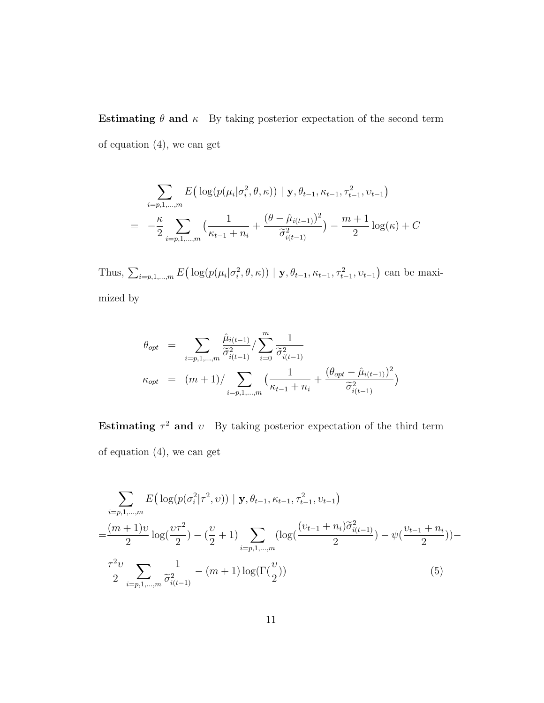Estimating  $\theta$  and  $\kappa$  By taking posterior expectation of the second term of equation (4), we can get

$$
\sum_{i=p,1,...,m} E\left(\log(p(\mu_i|\sigma_i^2,\theta,\kappa)) \mid \mathbf{y}, \theta_{t-1}, \kappa_{t-1}, \tau_{t-1}^2, \nu_{t-1}\right)
$$
\n
$$
= -\frac{\kappa}{2} \sum_{i=p,1,...,m} \left(\frac{1}{\kappa_{t-1} + n_i} + \frac{(\theta - \hat{\mu}_{i(t-1)})^2}{\tilde{\sigma}_{i(t-1)}^2}\right) - \frac{m+1}{2} \log(\kappa) + C
$$

Thus,  $\sum_{i=p,1,...,m} E\big(\log(p(\mu_i|\sigma_i^2,\theta,\kappa)) | \mathbf{y}, \theta_{t-1}, \kappa_{t-1}, \tau_{t-1}^2, v_{t-1}\big)$  can be maximized by

$$
\theta_{opt} = \sum_{i=p,1,...,m} \frac{\hat{\mu}_{i(t-1)}}{\tilde{\sigma}_{i(t-1)}^2} / \sum_{i=0}^m \frac{1}{\tilde{\sigma}_{i(t-1)}^2}
$$
\n
$$
\kappa_{opt} = (m+1) / \sum_{i=p,1,...,m} \left( \frac{1}{\kappa_{t-1} + n_i} + \frac{(\theta_{opt} - \hat{\mu}_{i(t-1)})^2}{\tilde{\sigma}_{i(t-1)}^2} \right)
$$

Estimating  $\tau^2$  and v By taking posterior expectation of the third term of equation (4), we can get

$$
\sum_{i=p,1,...,m} E\left(\log(p(\sigma_i^2|\tau^2, v)) \mid \mathbf{y}, \theta_{t-1}, \kappa_{t-1}, \tau_{t-1}^2, v_{t-1}\right)
$$
\n
$$
= \frac{(m+1)v}{2} \log\left(\frac{v\tau^2}{2}\right) - \left(\frac{v}{2} + 1\right) \sum_{i=p,1,...,m} \left(\log\left(\frac{(v_{t-1} + n_i)\widetilde{\sigma}_{i(t-1)}^2}{2}\right) - \psi\left(\frac{v_{t-1} + n_i}{2}\right)\right) - \frac{\tau^2 v}{2} \sum_{i=p,1,...,m} \frac{1}{\widetilde{\sigma}_{i(t-1)}^2} - (m+1) \log(\Gamma(\frac{v}{2})) \tag{5}
$$